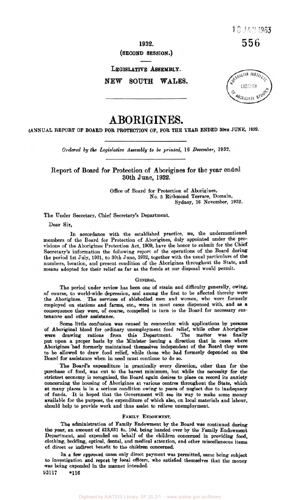**1932.** 

# **(SECOND SESSION.)**

**LEGISLATIVE ASSEMBLY.** 

**NEW SOUTH WALES.** 



# **ABORIGINES.**

**(ANNUAL REPORT OF BOARD FOR PROTECTION OF, FOR THE YEAR ENDED 30TH JUNE, 1932.** 

*Ordered by the Legislative Assembly to be printed,* 16 *December,* 1932.

Report of Board for Protection of Aborigines for **the year** ended 30th June, **1932.** 

> Office of Board for Protection of Aborigines, No. *5* Richmond Terrace, Domain, Sydney, 16 November, 1932.

The Under Secretary, Chief Secretary's Department.

**Dear** Sir,

**In** accordance with the established practice, we, the undermentioned members of the Board for Protection of Aborigines, duly appointed under the provisions of the Aborigines Protection Act, 1909, have the honor to submit for the Chief Secretary's information the following report of the operations of the Board during the period 1st July, 1931, to 30th **June,** 1932, together with the usual particulars of the numbers, location, and present condition of the Aborigines throughout the State, and means adopted for their relief **as** far as the funds at our disposal would permit.

#### **GENERAL.**

The **period** under review has **been** one of strain and difficulty generally, *owing,*  of course, to world-wide depression, and among the first to be affected thereby were the Aborigines. The **services** of ablebodied men and women, who were formerly employed **on** stations and farms, etc., were in most cases dispensed with, and **as** a consequence they were, of course, compelled to turn to the Board for necessary sustenance and other assistance.

*Some* little confusion was caused in connection with applications by **persons**  of Aboriginal blood for ordinary unemployment food relief, while other Aborigines were drawing rations from this Department. The matter was finally were drawing rations from this Department. put upon a proper basis by the Minister issuing a direction that in **cases** where Aborigines had formerly maintained themselves independent of the Board they were to be allowed to draw food relief, while those who had formerly depended on the **Board** for assistance when in **need** must continue to do so.

**The** Board's expenditure in practically every direction, other than for the purchase of food, was cut to the barest minimum, but while the necessity for the strictest economy is **recognised,** the Board again desires to place **on** record its anxiety concerning the housing of Aborigines at various centres throughout the State, which at many places is in a serious condition owing to **years** of neglect due to inadequacy of funds. It is hoped that the Government will see its way to make some money available for the purpose, the expenditure of which also, **on** local materials and labour, should help to provide work and thus assist to relieve unemployment.

### **FAMILY** ENDOWMENT.

The administration of Family Endowment by the **Board** was continued during *the* **year, an** amount of £13,631 **8s.** 10d. being handed over by **the Family** Endowment Department, and expended **on** behalf of the children concerned in providing food, clothing, bedding, optical, dental, and medical attention, and other miscellaneous items *of* direct or **indirect** benefit to the children **concerned.** 

**In a** few **approved** cases only direct payment was permitted, same being subject **to** investigation and **report by locaI Officers,** who satisfied themselves that the money **was being expended** in the manner intended.

93117 **\*116**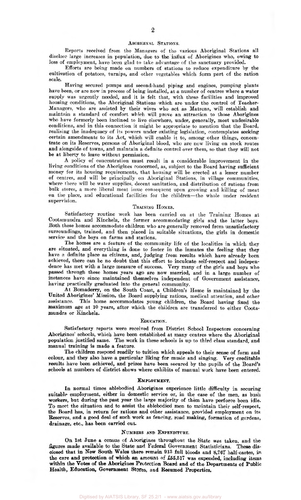#### ABORIGINAL STATIONS.

Reports received from the Managers of the various Aboriginal Stations all disclose large increases in population, due to the influx of Aborigines who, owing to loss of employment, have been glad to take advantage of the sanctuary provided.

Efforts are being made on numbers of stations to reduce expenditure by the cultivation of potatoes, turnips, and other vegetables which form part of the ration scale.

Having secured pumps and second-hand piping and engines, pumping plants have been, or are now in process of being installed, at a number of centres where a water supply was urgently needed, and it is felt that, with these facilities and improved housing conditions, the Aboriginal Stations which are under the control of Teacher-Managers, who are assisted by their wives who act as Matrons, will establish and maintain a standard of comfort which will prove an attraction to those Aborigines who have formerly been inclined to live elsewhere, under, generally, most undesirable conditions, and in this connection it might be appropriate to mention that the Board, realising the inadequacy of its powers under existing legislation, contemplates seeking certain amendments to its Act, which will enable it to, among other things, concentrate on its Reserves, persons of Aboriginal blood, who are now living on stock routes and alongside of towns, and maintain a definite control over them, so that they will not be at liberty to leave without permission.

A policy of concentration must result in a considerable improvement in the living conditions of the Aborigines concerned, as, subject to the Board having sufficient money for its housing requirements, that housing will be erected at a lesser number of centres, and will be principally on Aboriginal Stations, in village communities, where there will be water supplies, decent sanitation, and distribution of rations from bulk stores, a more liberal meat issue consequent upon growing and killing of meat on the place, and educational facilities for the children-the whole under resident supervision.

# TRAINING **HOMES.**

Satisfactory routine work has been carried on at the Training Homes at Cootamundra and Kinchela, the former accommodating girls and the latter boys. Both these homes accommodate children who are generally removed from unsatisfactory surroundings, trained, and then placed in suitable situations, the girls in domestic service and the boys on farms and stations.

The homes are a feature of the community life of the localities in which they are situated, and everything is done to foster in the inmates the feeling that they have a definite place as citizens, and, judging from results which have already been achieved, there can be no doubt that this effort to inculcate self-respect and independence has met with a large measure of success. Very many of the girls and boys who passed through these homes years ago are now married, and in a large number of instances have since maintained themselves independent of Government assistance, having practically graduated into the general community.

At Bomaderry, on the South Coast, a Children's Home is maintained by the United Aborigines' Mission, the Board supplying rations, medical attention, and other assistance. This home accommodates young children, the Board having **fixed** the maximum age at 10 years, after which the children are transferred to either Cootamundra or Kinchela.

#### EDUCATION.

Satisfactory reports were received from District School Inspectors concerning Aborigines' schools, which have **been** established at many centres where the Aboriginal population justified same. The work in these schools is up to third class standard, and manual training is made a feature.

**The** children respond readily to tuition which appeals to their sense of form and colour, and they also have a particular liking for music and singing. Very creditable results have been achieved, and prizes have **been** secured by the pupils of the Board's **schools** at numbers of district shows where exhibits of manual work have been entered.

#### **EMPLOYMENT.**

In normal times ablebodied Aborigines experience little difficulty in securing suitable empIoyment, either in domestic service or, in the case of the men, as bush workers, but during the past year the large majority of them have perforce been idle. **To** meet the situation and to assist the ablebodied men to maintain their self-respect, the Hoard has, in return for rations and other assistance, provided employment on its Reserves, and a good deal of such work as fencing, road making, formation of gardens, drainage, etc., has **been** carried out.

## NUMBERS **AND** EXPENDITURE.

On 1st June a census of **Aborigines** throughout the State **was** taken, and the figures made available to the State and Federal Government Statisticians. These disclosed that in New South Wales there **remain 913** full bloods and **8,767** half-castes, **in**  the **care** and protection of which **an** *amount* **of £55,517** was expended, including items within **the Votes** of the **Aborigines** Protection Board and of the Departments of Public Health, Education, Government Stores, and Resumed Properties.